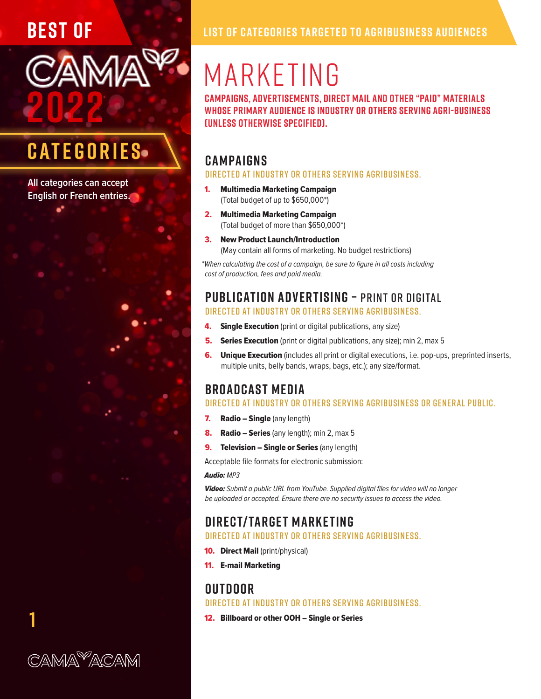**2022**

### **CATEGORIES**

**AM** 

**All categories can accept English or French entries.**

**1**

CAMA<sup>9</sup>ACAM

# MARKETING

**Campaigns, advertisements, direct mail and other "paid" materials whose primary audience is industry or others serving agri-business (unless otherwise specified).**

#### **CAMPAIGNS**

Directed at industry or others serving agribusiness.

- 1. Multimedia Marketing Campaign (Total budget of up to \$650,000\*)
- 2. Multimedia Marketing Campaign (Total budget of more than \$650,000\*)
- 3. New Product Launch/Introduction (May contain all forms of marketing. No budget restrictions)

*\*When calculating the cost of a campaign, be sure to figure in all costs including cost of production, fees and paid media.*

#### **PUBLICATION ADVERTISING –** PRINT OR DIGITAL

Directed at industry or others serving agribusiness.

- **4.** Single Execution (print or digital publications, any size)
- **5.** Series Execution (print or digital publications, any size); min 2, max 5
- **6.** Unique Execution (includes all print or digital executions, i.e. pop-ups, preprinted inserts, multiple units, belly bands, wraps, bags, etc.); any size/format.

#### **BROADCAST MEDIA**

#### Directed at industry or others serving agribusiness or general public.

- 7. Radio Single (any length)
- 8. Radio Series (any length); min 2, max 5
- **9.** Television Single or Series (any length)

Acceptable file formats for electronic submission:

#### *Audio: MP3*

*Video: Submit a public URL from YouTube. Supplied digital files for video will no longer be uploaded or accepted. Ensure there are no security issues to access the video.*

#### **DIRECT/ TARGET MARKETING**

Directed at industry or others serving agribusiness.

- **10. Direct Mail** (print/physical)
- 11. E-mail Marketing

#### **OUTDOOR**

Directed at industry or others serving agribusiness.

12. Billboard or other OOH – Single or Series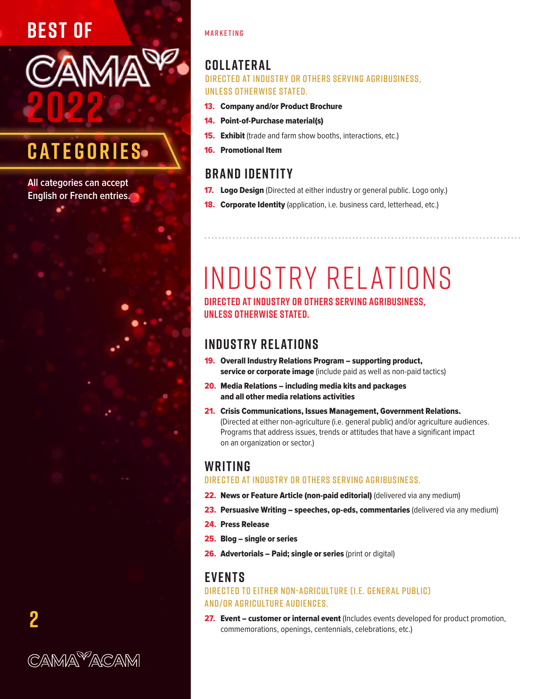### **BEST OF**



### **CATEGORIES**

**All categories can accept English or French entries.**

#### MARKETING

#### **COLL ATER AL**

Directed at industry or others serving agribusiness, unless otherwise stated.

- 13. Company and/or Product Brochure
- 14. Point-of-Purchase material(s)
- **15. Exhibit** (trade and farm show booths, interactions, etc.)
- 16. Promotional Item

#### **BRAND IDENTITY**

- **17. Logo Design** (Directed at either industry or general public. Logo only.)
- **18. Corporate Identity** (application, i.e. business card, letterhead, etc.)

# INDUSTRY RELATIONS

**Directed at industry or others serving agribusiness, unless otherwise stated.**

#### **INDUSTRY REL ATIONS**

- 19. Overall Industry Relations Program supporting product, service or corporate image (include paid as well as non-paid tactics)
- 20. Media Relations including media kits and packages and all other media relations activities
- 21. Crisis Communications, Issues Management, Government Relations. (Directed at either non-agriculture (i.e. general public) and/or agriculture audiences. Programs that address issues, trends or attitudes that have a significant impact on an organization or sector.)

#### **WRITING**

#### Directed at industry or others serving agribusiness.

- 22. News or Feature Article (non-paid editorial) (delivered via any medium)
- 23. Persuasive Writing speeches, op-eds, commentaries (delivered via any medium)
- 24. Press Release
- 25. Blog single or series
- 26. Advertorials Paid; single or series (print or digital)

#### **EVENTS**

DIRECTED TO EITHER NON-AGRICULTURE (I.E. GENERAL PUBLIC) and/or agriculture audiences.

27. Event - customer or internal event (Includes events developed for product promotion, commemorations, openings, centennials, celebrations, etc.)

**2**

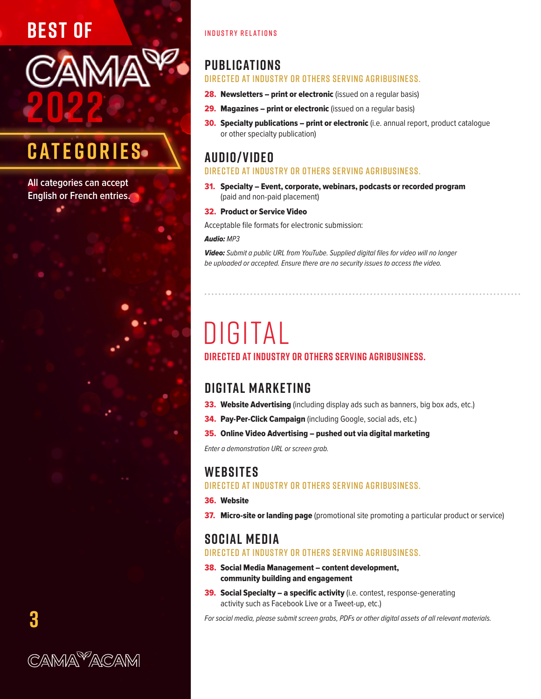### **BEST OF**

# **2022**

### **CATEGORIES**

**All categories can accept English or French entries.**

#### INDUSTRY RELATIONS

#### **PUBLICATIONS**

#### Directed at industry or others serving agribusiness.

- 28. Newsletters print or electronic (issued on a regular basis)
- 29. Magazines print or electronic (issued on a regular basis)
- 30. Specialty publications print or electronic (i.e. annual report, product catalogue or other specialty publication)

#### **AUDIO/ VIDEO**

#### Directed at industry or others serving agribusiness.

31. Specialty – Event, corporate, webinars, podcasts or recorded program (paid and non-paid placement)

#### 32. Product or Service Video

Acceptable file formats for electronic submission:

#### *Audio: MP3*

*Video: Submit a public URL from YouTube. Supplied digital files for video will no longer be uploaded or accepted. Ensure there are no security issues to access the video.*

# DIGITAL

#### **Directed at industry or others serving agribusiness.**

#### **DIGITAL MARKETING**

- 33. Website Advertising (including display ads such as banners, big box ads, etc.)
- 34. Pay-Per-Click Campaign (including Google, social ads, etc.)
- 35. Online Video Advertising pushed out via digital marketing

*Enter a demonstration URL or screen grab.*

#### **WEBSITES**

Directed at industry or others serving agribusiness.

#### 36. Website

37. Micro-site or landing page (promotional site promoting a particular product or service)

#### **SOCIAL MEDIA**

#### Directed at industry or others serving agribusiness.

- 38. Social Media Management content development, community building and engagement
- 39. Social Specialty a specific activity (i.e. contest, response-generating activity such as Facebook Live or a Tweet-up, etc.)

*For social media, please submit screen grabs, PDFs or other digital assets of all relevant materials.*